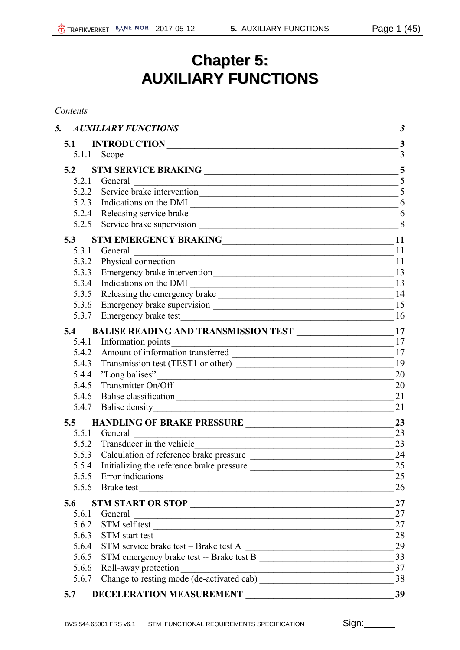# **Chapter 5: AUXILIARY FUNCTIONS**

#### *Contents*

|       | 5. AUXILIARY FUNCTIONS                                                                                                                                            | $\boldsymbol{\beta}$ |
|-------|-------------------------------------------------------------------------------------------------------------------------------------------------------------------|----------------------|
| 5.1   | INTRODUCTION                                                                                                                                                      | $\mathbf{3}$         |
|       | $5.1.1$ Scope                                                                                                                                                     | 3                    |
| 5.2   |                                                                                                                                                                   |                      |
| 5.2.1 | General 5                                                                                                                                                         |                      |
| 5.2.2 | Service brake intervention                                                                                                                                        | 5                    |
| 5.2.3 | Indications on the DMI                                                                                                                                            | 6                    |
|       | 5.2.4 Releasing service brake                                                                                                                                     | 6                    |
| 5.2.5 |                                                                                                                                                                   | 8                    |
| 5.3   |                                                                                                                                                                   |                      |
| 5.3.1 | General                                                                                                                                                           | 11                   |
| 5.3.2 |                                                                                                                                                                   | 11                   |
| 5.3.3 |                                                                                                                                                                   |                      |
| 5.3.4 | Indications on the DMI                                                                                                                                            | 13                   |
| 5.3.5 |                                                                                                                                                                   | 14                   |
| 5.3.6 |                                                                                                                                                                   | 15                   |
| 5.3.7 |                                                                                                                                                                   | 16                   |
| 5.4   | <b>BALISE READING AND TRANSMISSION TEST</b> 17                                                                                                                    |                      |
|       |                                                                                                                                                                   | 17                   |
|       | 5.4.1 Information points<br>5.4.2 Amount of information transferred                                                                                               | 17                   |
| 5.4.3 |                                                                                                                                                                   | 19                   |
| 5.4.4 | "Long balises"                                                                                                                                                    | 20                   |
| 5.4.5 | Transmitter On/Off                                                                                                                                                | 20                   |
| 5.4.6 |                                                                                                                                                                   | 21                   |
|       | 5.4.7 Balise density                                                                                                                                              | 21                   |
| 5.5   |                                                                                                                                                                   | 23                   |
| 5.5.1 | General<br><u> 1989 - Johann John Harry Harry Harry Harry Harry Harry Harry Harry Harry Harry Harry Harry Harry Harry Harry H</u>                                 | 23                   |
|       |                                                                                                                                                                   | 23                   |
|       | 5.5.3 Calculation of reference brake pressure __________________________________                                                                                  | 24                   |
| 5.5.4 | Initializing the reference brake pressure<br><u> 1989 - Johann John Stein, markin fan it ferstjer fan de oarste fan it ferstjer fan de oarste fan it ferstjer</u> | 25                   |
|       | 5.5.5 Error indications                                                                                                                                           | 25                   |
|       | 5.5.6 Brake test                                                                                                                                                  | 26                   |
| 5.6   |                                                                                                                                                                   | 27                   |
|       | 5.6.1 General<br><u> 1989 - Johann Harry Harry Harry Harry Harry Harry Harry Harry Harry Harry Harry Harry Harry Harry Harry Harry</u>                            | 27                   |
|       |                                                                                                                                                                   | 27                   |
| 5.6.3 | STM start test<br><u>Example</u> 2021                                                                                                                             | 28                   |
| 5.6.4 | STM service brake test - Brake test A                                                                                                                             | 29                   |
| 5.6.5 | STM emergency brake test -- Brake test B                                                                                                                          | 33                   |
| 5.6.6 | Roll-away protection<br><u> 1989 - Johann Stoff, Amerikaansk politiker (d. 1989)</u>                                                                              | 37                   |
| 5.6.7 | Change to resting mode (de-activated cab)                                                                                                                         | 38                   |
| 5.7   | DECELERATION MEASUREMENT                                                                                                                                          | 39                   |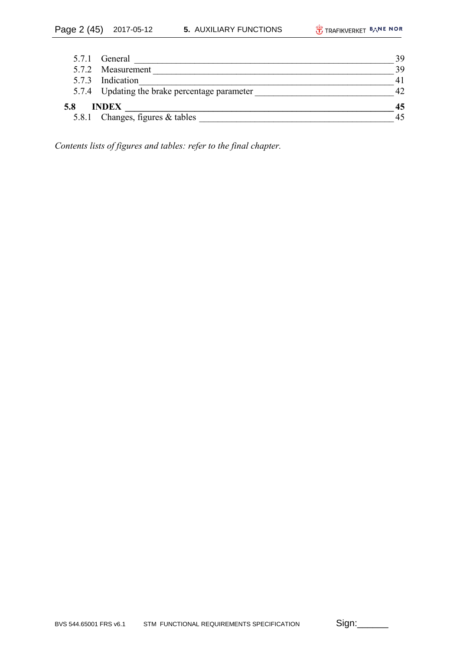|     | 5.7.1 General                                 | 39 |
|-----|-----------------------------------------------|----|
|     | 5.7.2 Measurement                             | 39 |
|     | 5.7.3 Indication                              | 41 |
|     | 5.7.4 Updating the brake percentage parameter | 42 |
| 5.8 | <b>INDEX</b>                                  | 45 |
|     | 5.8.1 Changes, figures & tables               | 45 |

*Contents lists of figures and tables: refer to the final chapter.*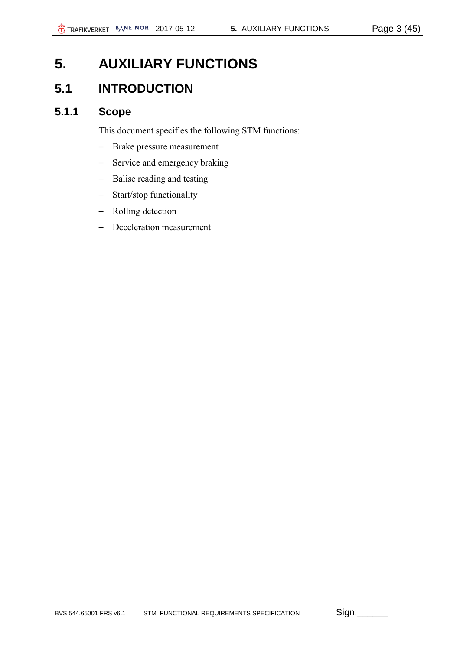# <span id="page-2-0"></span>**5. AUXILIARY FUNCTIONS**

## <span id="page-2-1"></span>**5.1 INTRODUCTION**

## <span id="page-2-2"></span>**5.1.1 Scope**

This document specifies the following STM functions:

- Brake pressure measurement
- Service and emergency braking
- Balise reading and testing
- Start/stop functionality
- Rolling detection
- Deceleration measurement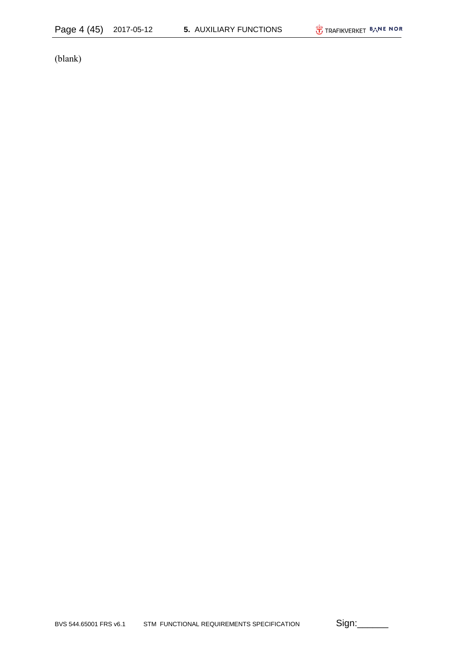(blank)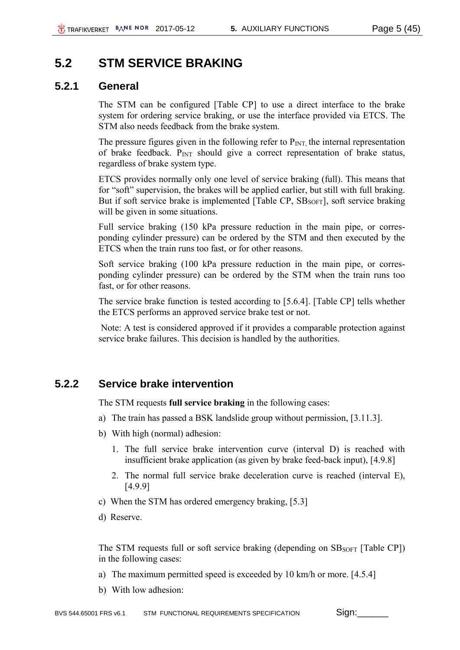## <span id="page-4-0"></span>**5.2 STM SERVICE BRAKING**

## <span id="page-4-1"></span>**5.2.1 General**

The STM can be configured [Table CP] to use a direct interface to the brake system for ordering service braking, or use the interface provided via ETCS. The STM also needs feedback from the brake system.

The pressure figures given in the following refer to  $P_{INT}$ , the internal representation of brake feedback.  $P_{INT}$  should give a correct representation of brake status, regardless of brake system type.

ETCS provides normally only one level of service braking (full). This means that for "soft" supervision, the brakes will be applied earlier, but still with full braking. But if soft service brake is implemented [Table CP, SB<sub>SOFT</sub>], soft service braking will be given in some situations.

Full service braking (150 kPa pressure reduction in the main pipe, or corresponding cylinder pressure) can be ordered by the STM and then executed by the ETCS when the train runs too fast, or for other reasons.

Soft service braking (100 kPa pressure reduction in the main pipe, or corresponding cylinder pressure) can be ordered by the STM when the train runs too fast, or for other reasons.

The service brake function is tested according to [5.6.4]. [Table CP] tells whether the ETCS performs an approved service brake test or not.

Note: A test is considered approved if it provides a comparable protection against service brake failures. This decision is handled by the authorities.

## <span id="page-4-2"></span>**5.2.2 Service brake intervention**

The STM requests **full service braking** in the following cases:

- a) The train has passed a BSK landslide group without permission, [3.11.3].
- b) With high (normal) adhesion:
	- 1. The full service brake intervention curve (interval D) is reached with insufficient brake application (as given by brake feed-back input), [4.9.8]
	- 2. The normal full service brake deceleration curve is reached (interval E), [4.9.9]
- c) When the STM has ordered emergency braking, [5.3]
- d) Reserve.

The STM requests full or soft service braking (depending on  $SB<sub>SOFF</sub>$  [Table CP]) in the following cases:

- a) The maximum permitted speed is exceeded by 10 km/h or more. [4.5.4]
- b) With low adhesion: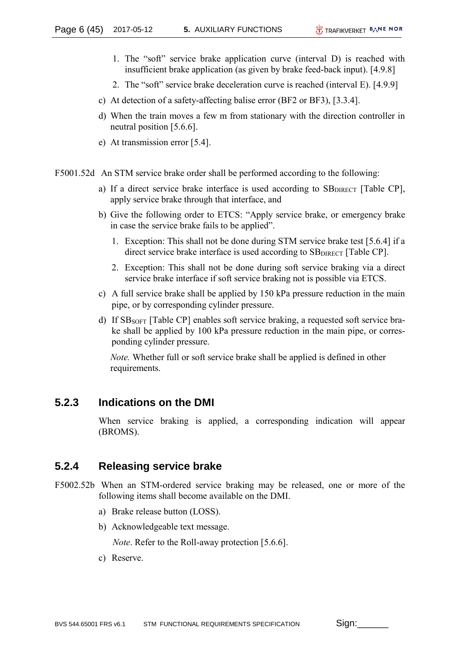- 1. The "soft" service brake application curve (interval D) is reached with insufficient brake application (as given by brake feed-back input). [4.9.8]
- 2. The "soft" service brake deceleration curve is reached (interval E). [4.9.9]
- c) At detection of a safety-affecting balise error (BF2 or BF3), [3.3.4].
- d) When the train moves a few m from stationary with the direction controller in neutral position [5.6.6].
- e) At transmission error [5.4].
- F5001.52d An STM service brake order shall be performed according to the following:
	- a) If a direct service brake interface is used according to  $SB<sub>DIRECT</sub>$  [Table CP], apply service brake through that interface, and
	- b) Give the following order to ETCS: "Apply service brake, or emergency brake in case the service brake fails to be applied".
		- 1. Exception: This shall not be done during STM service brake test [5.6.4] if a direct service brake interface is used according to  $SB$ <sub>DIRECT</sub> [Table CP].
		- 2. Exception: This shall not be done during soft service braking via a direct service brake interface if soft service braking not is possible via ETCS.
	- c) A full service brake shall be applied by 150 kPa pressure reduction in the main pipe, or by corresponding cylinder pressure.
	- d) If SBSOFT [Table CP] enables soft service braking, a requested soft service brake shall be applied by 100 kPa pressure reduction in the main pipe, or corresponding cylinder pressure.

*Note.* Whether full or soft service brake shall be applied is defined in other requirements.

## <span id="page-5-0"></span>**5.2.3 Indications on the DMI**

When service braking is applied, a corresponding indication will appear (BROMS).

### <span id="page-5-1"></span>**5.2.4 Releasing service brake**

- F5002.52b When an STM-ordered service braking may be released, one or more of the following items shall become available on the DMI.
	- a) Brake release button (LOSS).
	- b) Acknowledgeable text message.

*Note*. Refer to the Roll-away protection [5.6.6].

c) Reserve.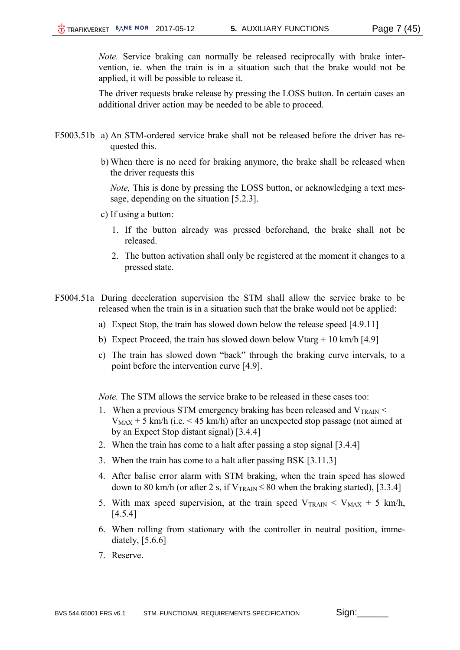*Note.* Service braking can normally be released reciprocally with brake intervention, ie. when the train is in a situation such that the brake would not be applied, it will be possible to release it.

The driver requests brake release by pressing the LOSS button. In certain cases an additional driver action may be needed to be able to proceed.

- F5003.51b a) An STM-ordered service brake shall not be released before the driver has requested this.
	- b) When there is no need for braking anymore, the brake shall be released when the driver requests this

*Note,* This is done by pressing the LOSS button, or acknowledging a text message, depending on the situation [5.2.3].

- c) If using a button:
	- 1. If the button already was pressed beforehand, the brake shall not be released.
	- 2. The button activation shall only be registered at the moment it changes to a pressed state.
- F5004.51a During deceleration supervision the STM shall allow the service brake to be released when the train is in a situation such that the brake would not be applied:
	- a) Expect Stop, the train has slowed down below the release speed [4.9.11]
	- b) Expect Proceed, the train has slowed down below Vtarg + 10 km/h [4.9]
	- c) The train has slowed down "back" through the braking curve intervals, to a point before the intervention curve [4.9].

*Note.* The STM allows the service brake to be released in these cases too:

- 1. When a previous STM emergency braking has been released and  $V_{TRAIN} <$  $V_{MAX}$  + 5 km/h (i.e.  $\leq$  45 km/h) after an unexpected stop passage (not aimed at by an Expect Stop distant signal) [3.4.4]
- 2. When the train has come to a halt after passing a stop signal [3.4.4]
- 3. When the train has come to a halt after passing BSK [3.11.3]
- 4. After balise error alarm with STM braking, when the train speed has slowed down to 80 km/h (or after 2 s, if  $V_{TRAN} \le 80$  when the braking started), [3.3.4]
- 5. With max speed supervision, at the train speed  $V_{\text{TRAN}} < V_{\text{MAX}} + 5$  km/h, [4.5.4]
- 6. When rolling from stationary with the controller in neutral position, immediately, [5.6.6]
- 7. Reserve.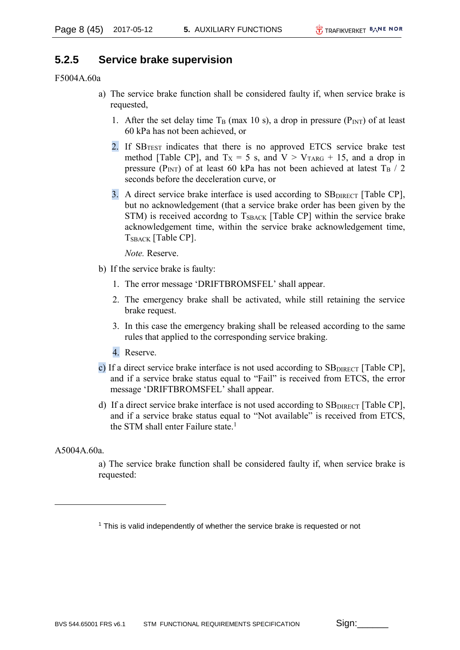#### <span id="page-7-0"></span>**5.2.5 Service brake supervision**

F5004A.60a

- a) The service brake function shall be considered faulty if, when service brake is requested,
	- 1. After the set delay time  $T_B$  (max 10 s), a drop in pressure ( $P_{INT}$ ) of at least 60 kPa has not been achieved, or
	- 2. If SBTEST indicates that there is no approved ETCS service brake test method [Table CP], and  $T_X = 5$  s, and  $V > V_{TARG} + 15$ , and a drop in pressure (P<sub>INT</sub>) of at least 60 kPa has not been achieved at latest T<sub>B</sub> / 2 seconds before the deceleration curve, or
	- 3. A direct service brake interface is used according to SB<sub>DIRECT</sub> [Table CP], but no acknowledgement (that a service brake order has been given by the STM) is received accordng to T<sub>SBACK</sub> [Table CP] within the service brake acknowledgement time, within the service brake acknowledgement time, T<sub>SBACK</sub> [Table CP].

*Note.* Reserve.

- b) If the service brake is faulty:
	- 1. The error message 'DRIFTBROMSFEL' shall appear.
	- 2. The emergency brake shall be activated, while still retaining the service brake request.
	- 3. In this case the emergency braking shall be released according to the same rules that applied to the corresponding service braking.
	- 4. Reserve.
- c) If a direct service brake interface is not used according to  $SB_{\text{DIRECT}}$  [Table CP], and if a service brake status equal to "Fail" is received from ETCS, the error message 'DRIFTBROMSFEL' shall appear.
- d) If a direct service brake interface is not used according to  $SB_{\text{DIRECT}}$  [Table CP], and if a service brake status equal to "Not available" is received from ETCS, the STM shall enter Failure state.<sup>1</sup>

A5004A.60a.

 $\overline{a}$ 

a) The service brake function shall be considered faulty if, when service brake is requested:

<sup>&</sup>lt;sup>1</sup> This is valid independently of whether the service brake is requested or not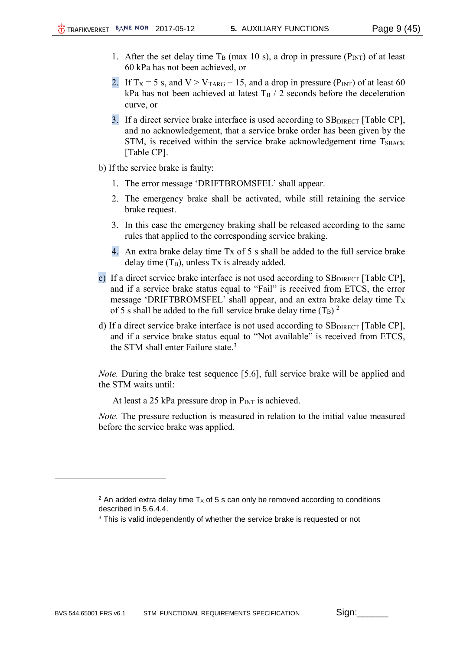- 1. After the set delay time  $T_B$  (max 10 s), a drop in pressure ( $P_{INT}$ ) of at least 60 kPa has not been achieved, or
- 2. If  $T_X = 5$  s, and  $V > V_{TARG} + 15$ , and a drop in pressure (P<sub>INT</sub>) of at least 60 kPa has not been achieved at latest  $T_B / 2$  seconds before the deceleration curve, or
- 3. If a direct service brake interface is used according to SB<sub>DIRECT</sub> [Table CP], and no acknowledgement, that a service brake order has been given by the STM, is received within the service brake acknowledgement time T<sub>SBACK</sub> [Table CP].
- b) If the service brake is faulty:
	- 1. The error message 'DRIFTBROMSFEL' shall appear.
	- 2. The emergency brake shall be activated, while still retaining the service brake request.
	- 3. In this case the emergency braking shall be released according to the same rules that applied to the corresponding service braking.
	- 4. An extra brake delay time Tx of 5 s shall be added to the full service brake delay time  $(T_B)$ , unless Tx is already added.
- c) If a direct service brake interface is not used according to  $SB<sub>DIRECT</sub>$  [Table CP], and if a service brake status equal to "Fail" is received from ETCS, the error message 'DRIFTBROMSFEL' shall appear, and an extra brake delay time  $T_X$ of 5 s shall be added to the full service brake delay time  $(T<sub>B</sub>)<sup>2</sup>$
- d) If a direct service brake interface is not used according to  $SB<sub>DIRECT</sub>$  [Table CP], and if a service brake status equal to "Not available" is received from ETCS, the STM shall enter Failure state. 3

*Note.* During the brake test sequence [5.6], full service brake will be applied and the STM waits until:

At least a 25 kPa pressure drop in  $P_{INT}$  is achieved.

*Note.* The pressure reduction is measured in relation to the initial value measured before the service brake was applied.

 $2$  An added extra delay time  $T_x$  of 5 s can only be removed according to conditions described in 5.6.4.4.

<sup>&</sup>lt;sup>3</sup> This is valid independently of whether the service brake is requested or not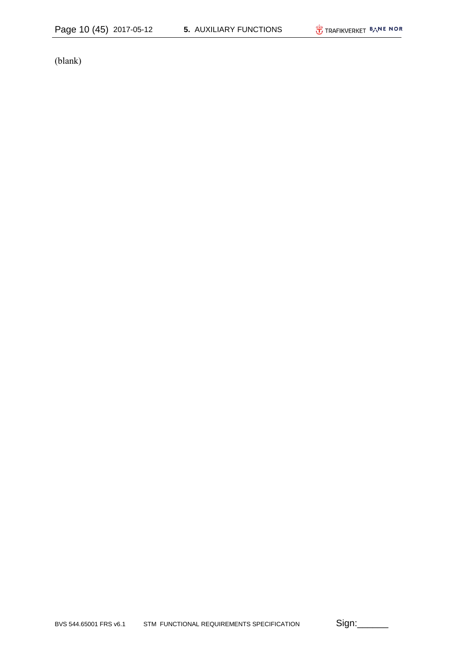(blank)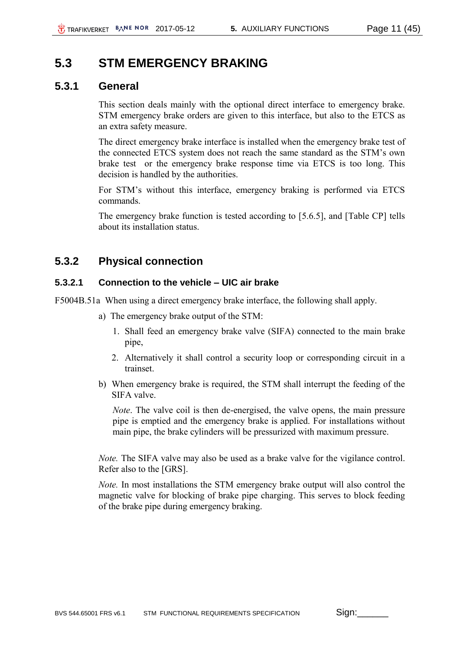## <span id="page-10-0"></span>**5.3 STM EMERGENCY BRAKING**

## <span id="page-10-1"></span>**5.3.1 General**

This section deals mainly with the optional direct interface to emergency brake. STM emergency brake orders are given to this interface, but also to the ETCS as an extra safety measure.

The direct emergency brake interface is installed when the emergency brake test of the connected ETCS system does not reach the same standard as the STM's own brake test or the emergency brake response time via ETCS is too long. This decision is handled by the authorities.

For STM's without this interface, emergency braking is performed via ETCS commands.

The emergency brake function is tested according to [5.6.5], and [Table CP] tells about its installation status.

## <span id="page-10-2"></span>**5.3.2 Physical connection**

#### **5.3.2.1 Connection to the vehicle – UIC air brake**

F5004B.51a When using a direct emergency brake interface, the following shall apply.

- a) The emergency brake output of the STM:
	- 1. Shall feed an emergency brake valve (SIFA) connected to the main brake pipe,
	- 2. Alternatively it shall control a security loop or corresponding circuit in a trainset.
- b) When emergency brake is required, the STM shall interrupt the feeding of the SIFA valve.

*Note*. The valve coil is then de-energised, the valve opens, the main pressure pipe is emptied and the emergency brake is applied. For installations without main pipe, the brake cylinders will be pressurized with maximum pressure.

*Note.* The SIFA valve may also be used as a brake valve for the vigilance control. Refer also to the [GRS].

*Note.* In most installations the STM emergency brake output will also control the magnetic valve for blocking of brake pipe charging. This serves to block feeding of the brake pipe during emergency braking.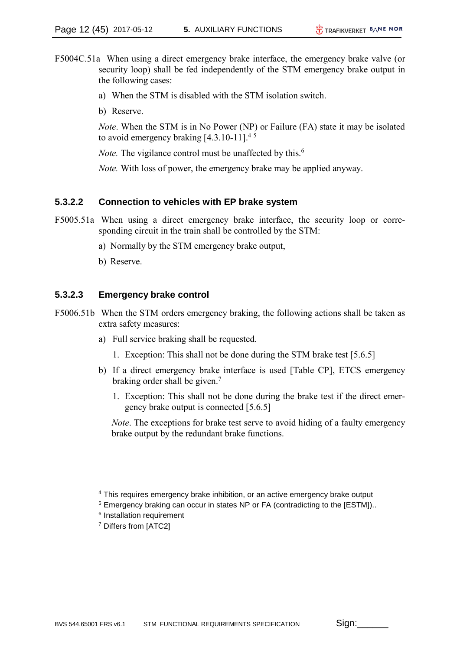- F5004C.51a When using a direct emergency brake interface, the emergency brake valve (or security loop) shall be fed independently of the STM emergency brake output in the following cases:
	- a) When the STM is disabled with the STM isolation switch.
	- b) Reserve.

*Note*. When the STM is in No Power (NP) or Failure (FA) state it may be isolated to avoid emergency braking  $[4.3.10-11]^{4.5}$ 

*Note.* The vigilance control must be unaffected by this.<sup>6</sup>

*Note.* With loss of power, the emergency brake may be applied anyway.

#### **5.3.2.2 Connection to vehicles with EP brake system**

- F5005.51a When using a direct emergency brake interface, the security loop or corresponding circuit in the train shall be controlled by the STM:
	- a) Normally by the STM emergency brake output,
	- b) Reserve.

#### **5.3.2.3 Emergency brake control**

- F5006.51b When the STM orders emergency braking, the following actions shall be taken as extra safety measures:
	- a) Full service braking shall be requested.
		- 1. Exception: This shall not be done during the STM brake test [5.6.5]
	- b) If a direct emergency brake interface is used [Table CP], ETCS emergency braking order shall be given.<sup>7</sup>
		- 1. Exception: This shall not be done during the brake test if the direct emergency brake output is connected [5.6.5]

*Note*. The exceptions for brake test serve to avoid hiding of a faulty emergency brake output by the redundant brake functions.

<sup>&</sup>lt;sup>4</sup> This requires emergency brake inhibition, or an active emergency brake output

<sup>&</sup>lt;sup>5</sup> Emergency braking can occur in states NP or FA (contradicting to the [ESTM])..

<sup>6</sup> Installation requirement

<sup>7</sup> Differs from [ATC2]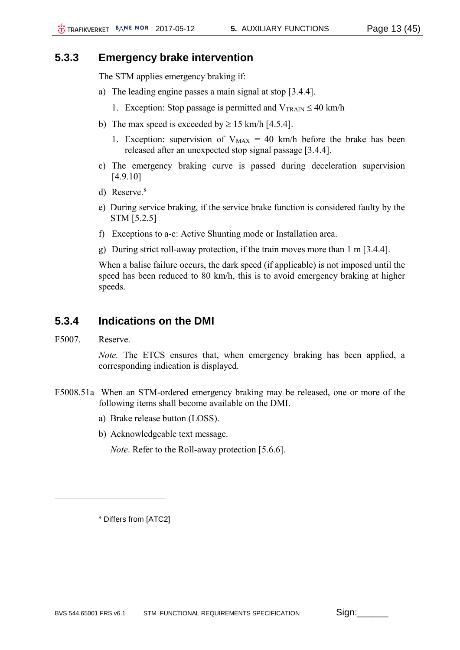## <span id="page-12-0"></span>**5.3.3 Emergency brake intervention**

The STM applies emergency braking if:

- a) The leading engine passes a main signal at stop [3.4.4].
	- 1. Exception: Stop passage is permitted and  $V_{\text{TRAN}} \leq 40 \text{ km/h}$
- b) The max speed is exceeded by  $\geq 15$  km/h [4.5.4].
	- 1. Exception: supervision of  $V_{MAX} = 40$  km/h before the brake has been released after an unexpected stop signal passage [3.4.4].
- c) The emergency braking curve is passed during deceleration supervision [4.9.10]
- d) Reserve.<sup>8</sup>
- e) During service braking, if the service brake function is considered faulty by the STM [5.2.5]
- f) Exceptions to a-c: Active Shunting mode or Installation area.
- g) During strict roll-away protection, if the train moves more than 1 m [3.4.4].

When a balise failure occurs, the dark speed (if applicable) is not imposed until the speed has been reduced to 80 km/h, this is to avoid emergency braking at higher speeds.

### <span id="page-12-1"></span>**5.3.4 Indications on the DMI**

F5007. Reserve.

 $\overline{a}$ 

*Note.* The ETCS ensures that, when emergency braking has been applied, a corresponding indication is displayed.

- F5008.51a When an STM-ordered emergency braking may be released, one or more of the following items shall become available on the DMI.
	- a) Brake release button (LOSS).
	- b) Acknowledgeable text message.

*Note*. Refer to the Roll-away protection [5.6.6].

<sup>8</sup> Differs from [ATC2]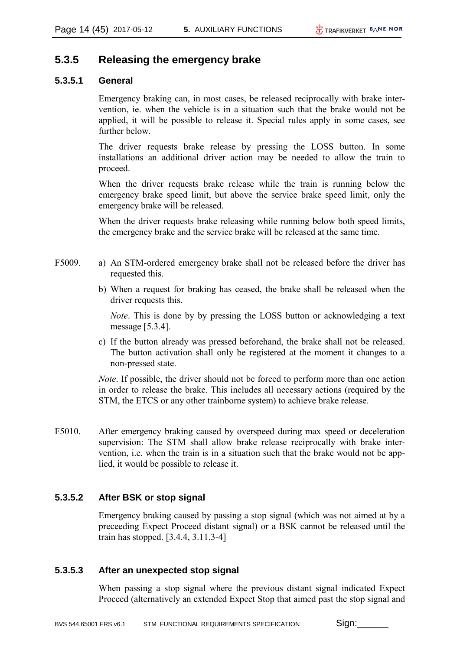## <span id="page-13-0"></span>**5.3.5 Releasing the emergency brake**

#### **5.3.5.1 General**

Emergency braking can, in most cases, be released reciprocally with brake intervention, ie. when the vehicle is in a situation such that the brake would not be applied, it will be possible to release it. Special rules apply in some cases, see further below.

The driver requests brake release by pressing the LOSS button. In some installations an additional driver action may be needed to allow the train to proceed.

When the driver requests brake release while the train is running below the emergency brake speed limit, but above the service brake speed limit, only the emergency brake will be released.

When the driver requests brake releasing while running below both speed limits, the emergency brake and the service brake will be released at the same time.

- F5009. a) An STM-ordered emergency brake shall not be released before the driver has requested this.
	- b) When a request for braking has ceased, the brake shall be released when the driver requests this.

*Note*. This is done by by pressing the LOSS button or acknowledging a text message [5.3.4].

c) If the button already was pressed beforehand, the brake shall not be released. The button activation shall only be registered at the moment it changes to a non-pressed state.

*Note*. If possible, the driver should not be forced to perform more than one action in order to release the brake. This includes all necessary actions (required by the STM, the ETCS or any other trainborne system) to achieve brake release.

F5010. After emergency braking caused by overspeed during max speed or deceleration supervision: The STM shall allow brake release reciprocally with brake intervention, i.e. when the train is in a situation such that the brake would not be applied, it would be possible to release it.

#### **5.3.5.2 After BSK or stop signal**

Emergency braking caused by passing a stop signal (which was not aimed at by a preceeding Expect Proceed distant signal) or a BSK cannot be released until the train has stopped. [3.4.4, 3.11.3-4]

#### **5.3.5.3 After an unexpected stop signal**

When passing a stop signal where the previous distant signal indicated Expect Proceed (alternatively an extended Expect Stop that aimed past the stop signal and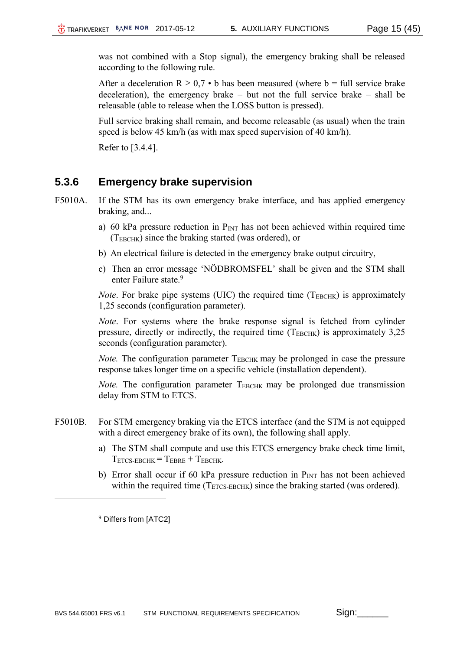was not combined with a Stop signal), the emergency braking shall be released according to the following rule.

After a deceleration  $R \geq 0.7 \cdot b$  has been measured (where b = full service brake deceleration), the emergency brake  $-$  but not the full service brake  $-$  shall be releasable (able to release when the LOSS button is pressed).

Full service braking shall remain, and become releasable (as usual) when the train speed is below 45 km/h (as with max speed supervision of 40 km/h).

Refer to [3.4.4].

### <span id="page-14-0"></span>**5.3.6 Emergency brake supervision**

- F5010A. If the STM has its own emergency brake interface, and has applied emergency braking, and...
	- a) 60 kPa pressure reduction in  $P_{INT}$  has not been achieved within required time (TEBCHK) since the braking started (was ordered), or
	- b) An electrical failure is detected in the emergency brake output circuitry,
	- c) Then an error message 'NÖDBROMSFEL' shall be given and the STM shall enter Failure state.<sup>9</sup>

*Note*. For brake pipe systems (UIC) the required time (T<sub>EBCHK</sub>) is approximately 1,25 seconds (configuration parameter).

*Note*. For systems where the brake response signal is fetched from cylinder pressure, directly or indirectly, the required time  $(T_{EBCHK})$  is approximately 3,25 seconds (configuration parameter).

*Note.* The configuration parameter T<sub>EBCHK</sub> may be prolonged in case the pressure response takes longer time on a specific vehicle (installation dependent).

*Note.* The configuration parameter  $T_{EBCHK}$  may be prolonged due transmission delay from STM to ETCS.

- F5010B. For STM emergency braking via the ETCS interface (and the STM is not equipped with a direct emergency brake of its own), the following shall apply.
	- a) The STM shall compute and use this ETCS emergency brake check time limit,  $T_{ETCS-EBCHK} = T_{EBRE} + T_{EBCHK}.$
	- b) Error shall occur if 60 kPa pressure reduction in  $P_{INT}$  has not been achieved within the required time (T<sub>ETCS-EBCHK</sub>) since the braking started (was ordered).

<sup>&</sup>lt;sup>9</sup> Differs from [ATC2]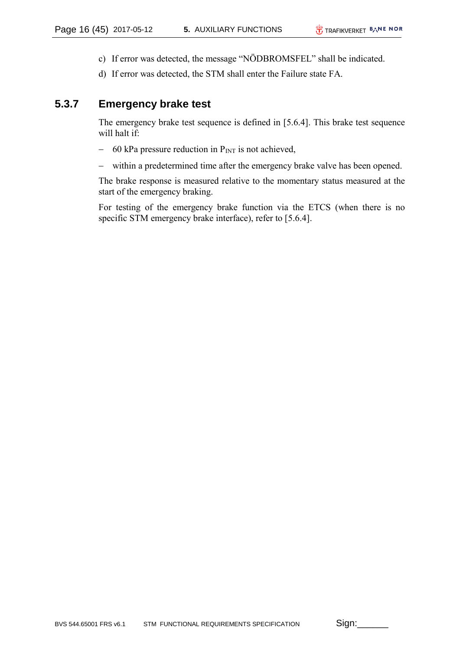- c) If error was detected, the message "NÖDBROMSFEL" shall be indicated.
- d) If error was detected, the STM shall enter the Failure state FA.

### <span id="page-15-0"></span>**5.3.7 Emergency brake test**

The emergency brake test sequence is defined in [5.6.4]. This brake test sequence will halt if:

- $-$  60 kPa pressure reduction in P<sub>INT</sub> is not achieved,
- within a predetermined time after the emergency brake valve has been opened.

The brake response is measured relative to the momentary status measured at the start of the emergency braking.

For testing of the emergency brake function via the ETCS (when there is no specific STM emergency brake interface), refer to [5.6.4].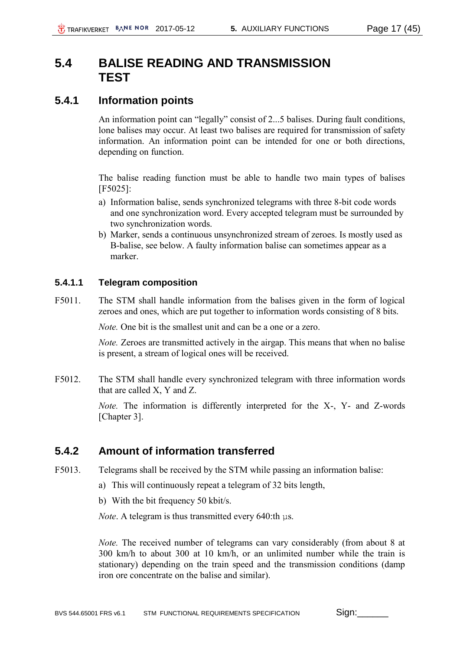## <span id="page-16-0"></span>**5.4 BALISE READING AND TRANSMISSION TEST**

## <span id="page-16-1"></span>**5.4.1 Information points**

An information point can "legally" consist of 2...5 balises. During fault conditions, lone balises may occur. At least two balises are required for transmission of safety information. An information point can be intended for one or both directions, depending on function.

The balise reading function must be able to handle two main types of balises [F5025]:

- a) Information balise, sends synchronized telegrams with three 8-bit code words and one synchronization word. Every accepted telegram must be surrounded by two synchronization words.
- b) Marker, sends a continuous unsynchronized stream of zeroes. Is mostly used as B-balise, see below. A faulty information balise can sometimes appear as a marker.

#### **5.4.1.1 Telegram composition**

F5011. The STM shall handle information from the balises given in the form of logical zeroes and ones, which are put together to information words consisting of 8 bits.

*Note.* One bit is the smallest unit and can be a one or a zero.

*Note.* Zeroes are transmitted actively in the airgap. This means that when no balise is present, a stream of logical ones will be received.

F5012. The STM shall handle every synchronized telegram with three information words that are called X, Y and Z.

> *Note.* The information is differently interpreted for the X-, Y- and Z-words [Chapter 3].

### <span id="page-16-2"></span>**5.4.2 Amount of information transferred**

- F5013. Telegrams shall be received by the STM while passing an information balise:
	- a) This will continuously repeat a telegram of 32 bits length,
	- b) With the bit frequency 50 kbit/s.

*Note*. A telegram is thus transmitted every 640:th μs.

*Note.* The received number of telegrams can vary considerably (from about 8 at 300 km/h to about 300 at 10 km/h, or an unlimited number while the train is stationary) depending on the train speed and the transmission conditions (damp iron ore concentrate on the balise and similar).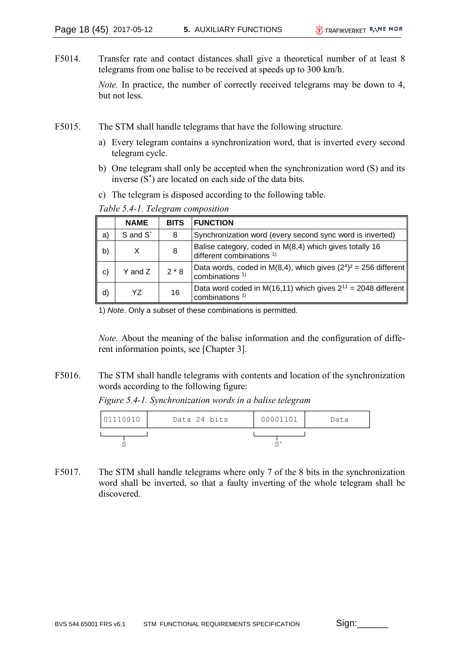F5014. Transfer rate and contact distances shall give a theoretical number of at least 8 telegrams from one balise to be received at speeds up to 300 km/h.

> *Note.* In practice, the number of correctly received telegrams may be down to 4, but not less.

- F5015. The STM shall handle telegrams that have the following structure.
	- a) Every telegram contains a synchronization word, that is inverted every second telegram cycle.
	- b) One telegram shall only be accepted when the synchronization word (S) and its inverse  $(S^*)$  are located on each side of the data bits.
	- c) The telegram is disposed according to the following table.

|              | <b>NAME</b>          | <b>BITS</b> | <b>FUNCTION</b>                                                                                  |
|--------------|----------------------|-------------|--------------------------------------------------------------------------------------------------|
| a)           | S and S <sup>*</sup> | 8           | Synchronization word (every second sync word is inverted)                                        |
| b)           |                      | 8           | Balise category, coded in M(8,4) which gives totally 16<br>different combinations <sup>1)</sup>  |
| $\mathbf{C}$ | Y and Z              | $2 * 8$     | Data words, coded in M(8,4), which gives $(2^4)^2 = 256$ different<br>combinations <sup>1)</sup> |
| d)           | YZ.                  | 16          | Data word coded in M(16,11) which gives $2^{11}$ = 2048 different<br>combinations <sup>1)</sup>  |

*Table 5.4-1. Telegram composition*

1) *Note*. Only a subset of these combinations is permitted.

*Note.* About the meaning of the balise information and the configuration of different information points, see [Chapter 3].

F5016. The STM shall handle telegrams with contents and location of the synchronization words according to the following figure:

*Figure 5.4-1. Synchronization words in a balise telegram*

| 101110010 | Data 24 bits | 00001101 | Data |
|-----------|--------------|----------|------|
|           |              |          |      |

F5017. The STM shall handle telegrams where only 7 of the 8 bits in the synchronization word shall be inverted, so that a faulty inverting of the whole telegram shall be discovered.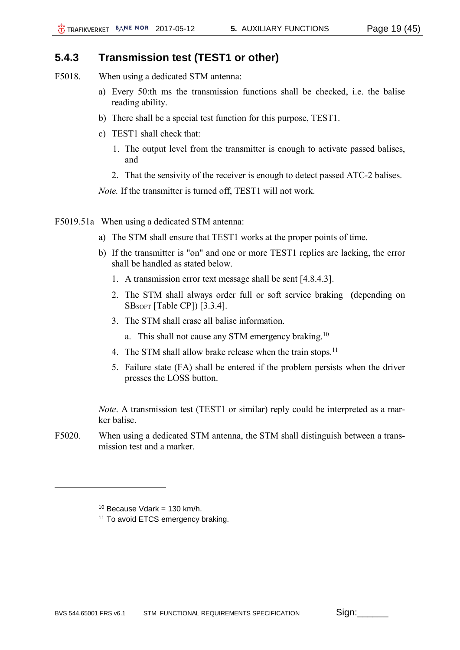#### <span id="page-18-0"></span>**5.4.3 Transmission test (TEST1 or other)**

- F5018. When using a dedicated STM antenna:
	- a) Every 50:th ms the transmission functions shall be checked, i.e. the balise reading ability.
	- b) There shall be a special test function for this purpose, TEST1.
	- c) TEST1 shall check that:
		- 1. The output level from the transmitter is enough to activate passed balises, and
		- 2. That the sensivity of the receiver is enough to detect passed ATC-2 balises.

*Note.* If the transmitter is turned off, TEST1 will not work.

- F5019.51a When using a dedicated STM antenna:
	- a) The STM shall ensure that TEST1 works at the proper points of time.
	- b) If the transmitter is "on" and one or more TEST1 replies are lacking, the error shall be handled as stated below.
		- 1. A transmission error text message shall be sent [4.8.4.3].
		- 2. The STM shall always order full or soft service braking **(**depending on  $SB<sub>SOFT</sub>$  [Table CP]) [3.3.4].
		- 3. The STM shall erase all balise information.
			- a. This shall not cause any STM emergency braking.<sup>10</sup>
		- 4. The STM shall allow brake release when the train stops.<sup>11</sup>
		- 5. Failure state (FA) shall be entered if the problem persists when the driver presses the LOSS button.

*Note*. A transmission test (TEST1 or similar) reply could be interpreted as a marker balise.

F5020. When using a dedicated STM antenna, the STM shall distinguish between a transmission test and a marker.

 $10$  Because Vdark = 130 km/h.

<sup>&</sup>lt;sup>11</sup> To avoid ETCS emergency braking.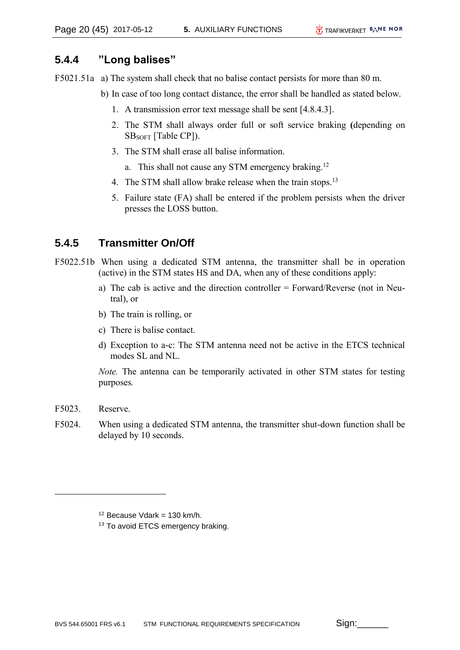## <span id="page-19-0"></span>**5.4.4 "Long balises"**

F5021.51a a) The system shall check that no balise contact persists for more than 80 m.

b) In case of too long contact distance, the error shall be handled as stated below.

- 1. A transmission error text message shall be sent [4.8.4.3].
- 2. The STM shall always order full or soft service braking **(**depending on SB<sub>SOFT</sub> [Table CP]).
- 3. The STM shall erase all balise information.
	- a. This shall not cause any STM emergency braking.<sup>12</sup>
- 4. The STM shall allow brake release when the train stops.<sup>13</sup>
- 5. Failure state (FA) shall be entered if the problem persists when the driver presses the LOSS button.

## <span id="page-19-1"></span>**5.4.5 Transmitter On/Off**

- F5022.51b When using a dedicated STM antenna, the transmitter shall be in operation (active) in the STM states HS and DA, when any of these conditions apply:
	- a) The cab is active and the direction controller = Forward/Reverse (not in Neutral), or
	- b) The train is rolling, or
	- c) There is balise contact.
	- d) Exception to a-c: The STM antenna need not be active in the ETCS technical modes SL and NL.

*Note.* The antenna can be temporarily activated in other STM states for testing purposes*.*

F5023. Reserve.

 $\overline{a}$ 

F5024. When using a dedicated STM antenna, the transmitter shut-down function shall be delayed by 10 seconds.

 $12$  Because Vdark = 130 km/h.

<sup>&</sup>lt;sup>13</sup> To avoid ETCS emergency braking.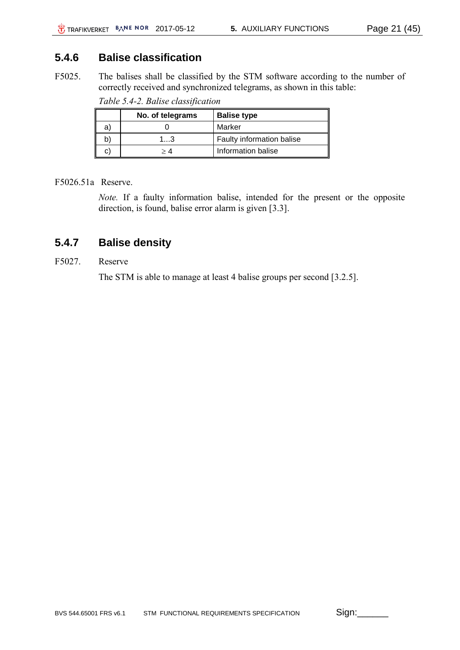## <span id="page-20-0"></span>**5.4.6 Balise classification**

F5025. The balises shall be classified by the STM software according to the number of correctly received and synchronized telegrams, as shown in this table:

*Table 5.4-2. Balise classification*

|    | No. of telegrams | <b>Balise type</b>               |
|----|------------------|----------------------------------|
| a) |                  | Marker                           |
|    | 13               | <b>Faulty information balise</b> |
|    | > ⊿              | Information balise               |

F5026.51a Reserve.

*Note.* If a faulty information balise, intended for the present or the opposite direction, is found, balise error alarm is given [3.3].

## <span id="page-20-1"></span>**5.4.7 Balise density**

F5027. Reserve

The STM is able to manage at least 4 balise groups per second [3.2.5].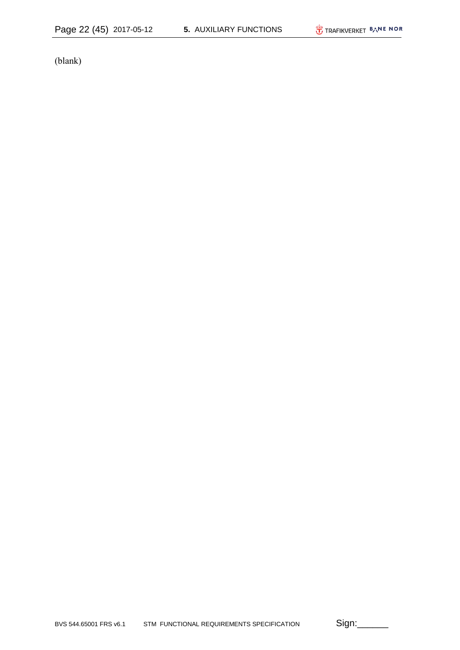(blank)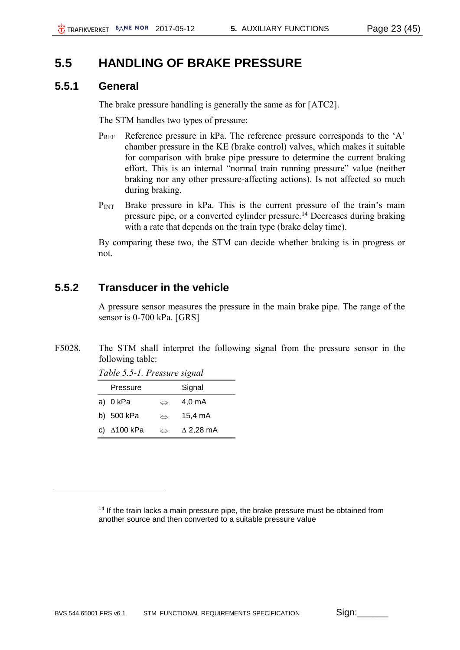## <span id="page-22-0"></span>**5.5 HANDLING OF BRAKE PRESSURE**

### <span id="page-22-1"></span>**5.5.1 General**

The brake pressure handling is generally the same as for [ATC2].

The STM handles two types of pressure:

- $P_{REF}$  Reference pressure in kPa. The reference pressure corresponds to the 'A' chamber pressure in the KE (brake control) valves, which makes it suitable for comparison with brake pipe pressure to determine the current braking effort. This is an internal "normal train running pressure" value (neither braking nor any other pressure-affecting actions). Is not affected so much during braking.
- P<sub>INT</sub> Brake pressure in kPa. This is the current pressure of the train's main pressure pipe, or a converted cylinder pressure.<sup>14</sup> Decreases during braking with a rate that depends on the train type (brake delay time).

By comparing these two, the STM can decide whether braking is in progress or not.

#### <span id="page-22-2"></span>**5.5.2 Transducer in the vehicle**

A pressure sensor measures the pressure in the main brake pipe. The range of the sensor is 0-700 kPa. [GRS]

F5028. The STM shall interpret the following signal from the pressure sensor in the following table:

| $1$ uvie $3.3$ -1. I ressure signui |                        |                   |                     |
|-------------------------------------|------------------------|-------------------|---------------------|
|                                     | Pressure               |                   | Signal              |
|                                     | a) OkPa                | $\Rightarrow$     | 4,0 mA              |
|                                     | b) 500 kPa             | $\Leftrightarrow$ | 15,4 mA             |
|                                     | c) $\triangle$ 100 kPa | $\Rightarrow$     | $\triangle$ 2,28 mA |

*Table 5.5-1. Pressure signal*

<sup>&</sup>lt;sup>14</sup> If the train lacks a main pressure pipe, the brake pressure must be obtained from another source and then converted to a suitable pressure value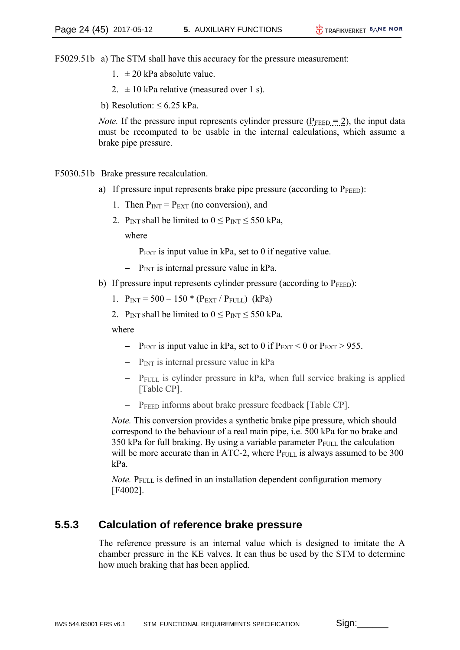F5029.51b a) The STM shall have this accuracy for the pressure measurement:

- $1 \pm 20$  kPa absolute value.
- 2.  $\pm$  10 kPa relative (measured over 1 s).

b) Resolution:  $\leq 6.25$  kPa.

*Note.* If the pressure input represents cylinder pressure ( $P_{FED} = 2$ ), the input data must be recomputed to be usable in the internal calculations, which assume a brake pipe pressure.

F5030.51b Brake pressure recalculation.

- a) If pressure input represents brake pipe pressure (according to  $P_{\text{FEED}}$ ):
	- 1. Then  $P_{INT} = P_{EXT}$  (no conversion), and
	- 2. P<sub>INT</sub> shall be limited to  $0 \leq P_{INT} \leq 550$  kPa, where
		- $-P_{EXT}$  is input value in kPa, set to 0 if negative value.
		- $-P_{INT}$  is internal pressure value in kPa.
- b) If pressure input represents cylinder pressure (according to  $P_{\text{FEED}}$ ):
	- 1.  $P_{INT} = 500 150 * (P_{EXT} / P_{FULL})$  (kPa)
	- 2. P<sub>INT</sub> shall be limited to  $0 \leq P_{\text{INT}} \leq 550$  kPa.

where

- P<sub>EXT</sub> is input value in kPa, set to 0 if  $P_{\text{EXT}}$  < 0 or  $P_{\text{EXT}}$  > 955.
- $-P_{INT}$  is internal pressure value in kPa
- $-P_{\text{FULL}}$  is cylinder pressure in kPa, when full service braking is applied [Table CP].
- $-P_{\text{FEED}}$  informs about brake pressure feedback [Table CP].

*Note.* This conversion provides a synthetic brake pipe pressure, which should correspond to the behaviour of a real main pipe, i.e. 500 kPa for no brake and 350 kPa for full braking. By using a variable parameter  $P_{\text{FULL}}$  the calculation will be more accurate than in ATC-2, where  $P_{\text{FULL}}$  is always assumed to be 300 kPa.

*Note.* P<sub>FULL</sub> is defined in an installation dependent configuration memory [F4002].

#### <span id="page-23-0"></span>**5.5.3 Calculation of reference brake pressure**

The reference pressure is an internal value which is designed to imitate the A chamber pressure in the KE valves. It can thus be used by the STM to determine how much braking that has been applied.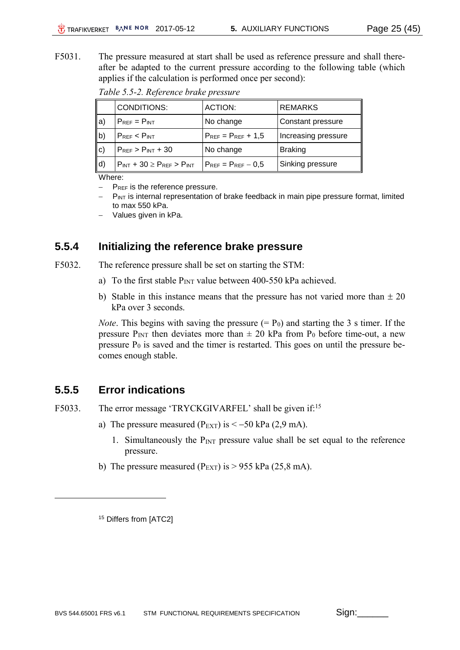F5031. The pressure measured at start shall be used as reference pressure and shall thereafter be adapted to the current pressure according to the following table (which applies if the calculation is performed once per second):

|              | <b>CONDITIONS:</b>                   | <b>ACTION:</b>            | <b>REMARKS</b>      |
|--------------|--------------------------------------|---------------------------|---------------------|
| a)           | $P_{REF} = P_{INT}$                  | No change                 | Constant pressure   |
| b)           | $P_{REF}$ < $P_{INT}$                | $P_{REF} = P_{REF} + 1.5$ | Increasing pressure |
| $\mathbf{C}$ | $P_{REF}$ > $P_{INT}$ + 30           | No change                 | <b>Braking</b>      |
| d)           | $P_{INT} + 30 \ge P_{REF} > P_{INT}$ | $P_{REF} = P_{REF} - 0.5$ | Sinking pressure    |

*Table 5.5-2. Reference brake pressure*

Where:

PREF is the reference pressure.

- $P_{INT}$  is internal representation of brake feedback in main pipe pressure format, limited to max 550 kPa.
- Values given in kPa.

### <span id="page-24-0"></span>**5.5.4 Initializing the reference brake pressure**

F5032. The reference pressure shall be set on starting the STM:

- a) To the first stable  $P_{INT}$  value between 400-550 kPa achieved.
- b) Stable in this instance means that the pressure has not varied more than  $\pm 20$ kPa over 3 seconds.

*Note*. This begins with saving the pressure  $(= P_0)$  and starting the 3 s timer. If the pressure P<sub>INT</sub> then deviates more than  $\pm 20$  kPa from P<sub>0</sub> before time-out, a new pressure  $P_0$  is saved and the timer is restarted. This goes on until the pressure becomes enough stable.

## <span id="page-24-1"></span>**5.5.5 Error indications**

F5033. The error message 'TRYCKGIVARFEL' shall be given if:<sup>15</sup>

- a) The pressure measured ( $P_{\text{EXT}}$ ) is  $\leq -50$  kPa (2,9 mA).
	- 1. Simultaneously the  $P_{INT}$  pressure value shall be set equal to the reference pressure.
- b) The pressure measured ( $P_{\text{EXT}}$ ) is > 955 kPa (25,8 mA).

<sup>&</sup>lt;sup>15</sup> Differs from [ATC2]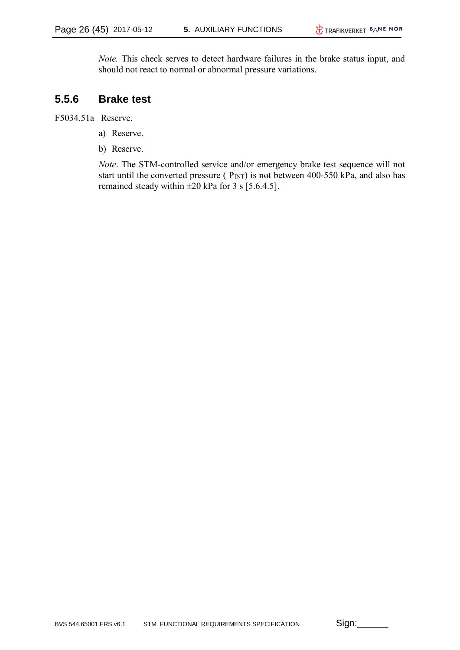*Note.* This check serves to detect hardware failures in the brake status input, and should not react to normal or abnormal pressure variations.

## <span id="page-25-0"></span>**5.5.6 Brake test**

F5034.51a Reserve.

- a) Reserve.
- b) Reserve.

*Note*. The STM-controlled service and/or emergency brake test sequence will not start until the converted pressure ( $P_{INT}$ ) is not between 400-550 kPa, and also has remained steady within  $\pm 20$  kPa for 3 s [5.6.4.5].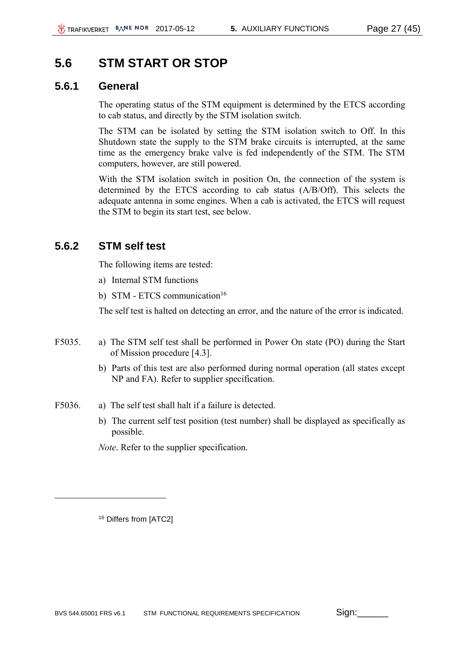## <span id="page-26-0"></span>**5.6 STM START OR STOP**

## <span id="page-26-1"></span>**5.6.1 General**

The operating status of the STM equipment is determined by the ETCS according to cab status, and directly by the STM isolation switch.

The STM can be isolated by setting the STM isolation switch to Off. In this Shutdown state the supply to the STM brake circuits is interrupted, at the same time as the emergency brake valve is fed independently of the STM. The STM computers, however, are still powered.

With the STM isolation switch in position On, the connection of the system is determined by the ETCS according to cab status (A/B/Off). This selects the adequate antenna in some engines. When a cab is activated, the ETCS will request the STM to begin its start test, see below.

## <span id="page-26-2"></span>**5.6.2 STM self test**

The following items are tested:

- a) Internal STM functions
- b) STM ETCS communication<sup>16</sup>

The self test is halted on detecting an error, and the nature of the error is indicated.

- F5035. a) The STM self test shall be performed in Power On state (PO) during the Start of Mission procedure [4.3].
	- b) Parts of this test are also performed during normal operation (all states except NP and FA). Refer to supplier specification.
- F5036. a) The self test shall halt if a failure is detected.
	- b) The current self test position (test number) shall be displayed as specifically as possible.

*Note*. Refer to the supplier specification.

<sup>16</sup> Differs from [ATC2]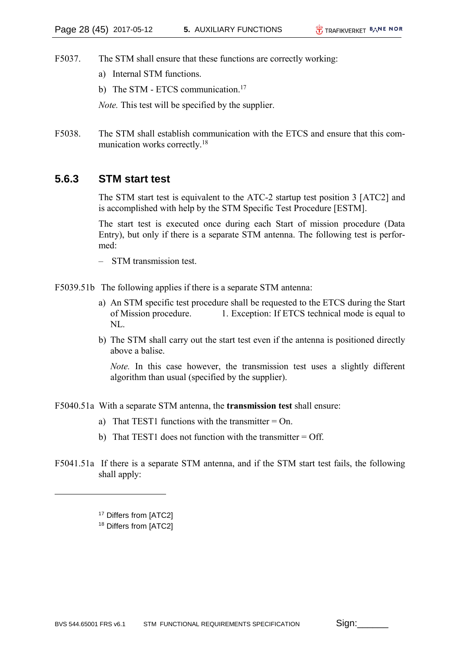F5037. The STM shall ensure that these functions are correctly working:

a) Internal STM functions.

b) The STM - ETCS communication.<sup>17</sup>

*Note.* This test will be specified by the supplier.

F5038. The STM shall establish communication with the ETCS and ensure that this communication works correctly.<sup>18</sup>

#### <span id="page-27-0"></span>**5.6.3 STM start test**

The STM start test is equivalent to the ATC-2 startup test position 3 [ATC2] and is accomplished with help by the STM Specific Test Procedure [ESTM].

The start test is executed once during each Start of mission procedure (Data Entry), but only if there is a separate STM antenna. The following test is performed:

- STM transmission test.
- F5039.51b The following applies if there is a separate STM antenna:
	- a) An STM specific test procedure shall be requested to the ETCS during the Start of Mission procedure. 1. Exception: If ETCS technical mode is equal to NL.
	- b) The STM shall carry out the start test even if the antenna is positioned directly above a balise.

*Note.* In this case however, the transmission test uses a slightly different algorithm than usual (specified by the supplier).

- F5040.51a With a separate STM antenna, the **transmission test** shall ensure:
	- a) That TEST1 functions with the transmitter  $=$  On.
	- b) That TEST1 does not function with the transmitter = Off.
- F5041.51a If there is a separate STM antenna, and if the STM start test fails, the following shall apply:
	- <sup>17</sup> Differs from [ATC2]

 $\overline{a}$ 

<sup>18</sup> Differs from [ATC2]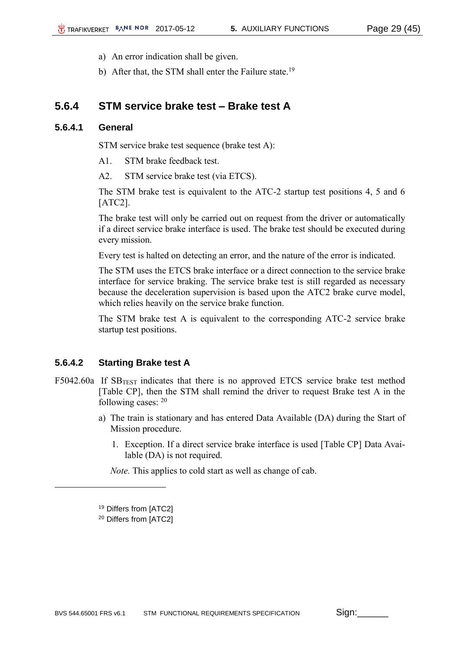- a) An error indication shall be given.
- b) After that, the STM shall enter the Failure state.<sup>19</sup>

#### <span id="page-28-0"></span>**5.6.4 STM service brake test – Brake test A**

#### **5.6.4.1 General**

STM service brake test sequence (brake test A):

- A1. STM brake feedback test.
- A2. STM service brake test (via ETCS).

The STM brake test is equivalent to the ATC-2 startup test positions 4, 5 and 6 [ATC2].

The brake test will only be carried out on request from the driver or automatically if a direct service brake interface is used. The brake test should be executed during every mission.

Every test is halted on detecting an error, and the nature of the error is indicated.

The STM uses the ETCS brake interface or a direct connection to the service brake interface for service braking. The service brake test is still regarded as necessary because the deceleration supervision is based upon the ATC2 brake curve model, which relies heavily on the service brake function.

The STM brake test A is equivalent to the corresponding ATC-2 service brake startup test positions.

#### **5.6.4.2 Starting Brake test A**

- F5042.60a If SBTEST indicates that there is no approved ETCS service brake test method [Table CP], then the STM shall remind the driver to request Brake test A in the following cases: <sup>20</sup>
	- a) The train is stationary and has entered Data Available (DA) during the Start of Mission procedure.
		- 1. Exception. If a direct service brake interface is used [Table CP] Data Available (DA) is not required.

*Note.* This applies to cold start as well as change of cab.

<sup>19</sup> Differs from [ATC2]

<sup>20</sup> Differs from [ATC2]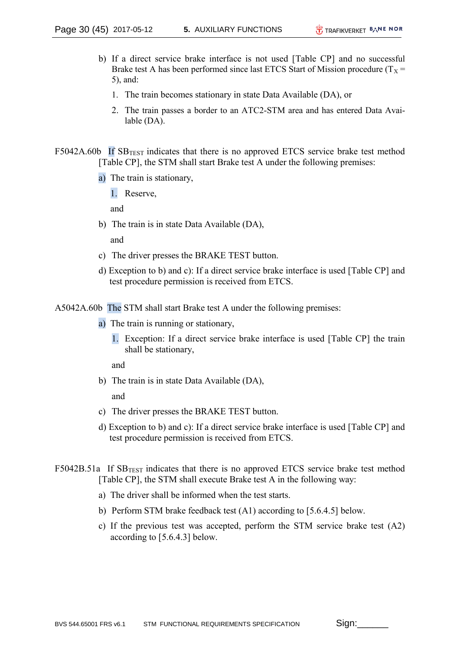- b) If a direct service brake interface is not used [Table CP] and no successful Brake test A has been performed since last ETCS Start of Mission procedure ( $T_x$  = 5), and:
	- 1. The train becomes stationary in state Data Available (DA), or
	- 2. The train passes a border to an ATC2-STM area and has entered Data Available (DA).
- F5042A.60b If  $SB$ <sub>TEST</sub> indicates that there is no approved ETCS service brake test method [Table CP], the STM shall start Brake test A under the following premises:
	- a) The train is stationary,
		- 1. Reserve,

and

b) The train is in state Data Available (DA),

and

- c) The driver presses the BRAKE TEST button.
- d) Exception to b) and c): If a direct service brake interface is used [Table CP] and test procedure permission is received from ETCS.

A5042A.60b The STM shall start Brake test A under the following premises:

- a) The train is running or stationary,
	- 1. Exception: If a direct service brake interface is used [Table CP] the train shall be stationary,

and

b) The train is in state Data Available (DA),

and

- c) The driver presses the BRAKE TEST button.
- d) Exception to b) and c): If a direct service brake interface is used [Table CP] and test procedure permission is received from ETCS.
- $F5042B.51a$  If  $SB$ <sub>TEST</sub> indicates that there is no approved ETCS service brake test method [Table CP], the STM shall execute Brake test A in the following way:
	- a) The driver shall be informed when the test starts.
	- b) Perform STM brake feedback test (A1) according to [5.6.4.5] below.
	- c) If the previous test was accepted, perform the STM service brake test (A2) according to [5.6.4.3] below.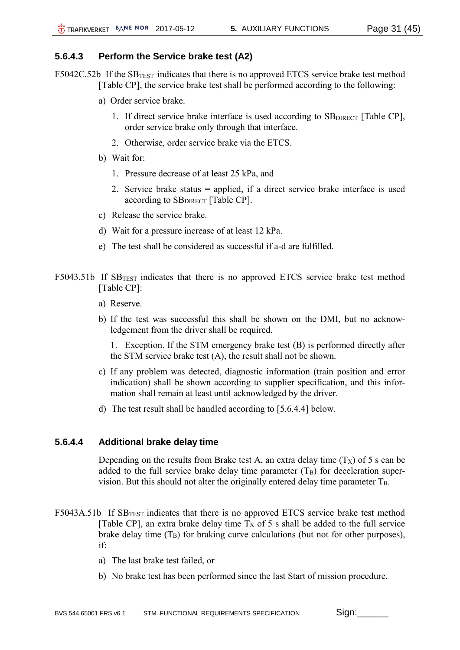#### **5.6.4.3 Perform the Service brake test (A2)**

F5042C.52b If the  $SB_{TEST}$  indicates that there is no approved ETCS service brake test method [Table CP], the service brake test shall be performed according to the following:

- a) Order service brake.
	- 1. If direct service brake interface is used according to SB<sub>DIRECT</sub> [Table CP], order service brake only through that interface.
	- 2. Otherwise, order service brake via the ETCS.
- b) Wait for:
	- 1. Pressure decrease of at least 25 kPa, and
	- 2. Service brake status = applied, if a direct service brake interface is used according to SB<sub>DIRECT</sub> [Table CP].
- c) Release the service brake.
- d) Wait for a pressure increase of at least 12 kPa.
- e) The test shall be considered as successful if a-d are fulfilled.
- $F5043.51b$  If  $SB$ <sub>TEST</sub> indicates that there is no approved ETCS service brake test method [Table CP]:
	- a) Reserve.
	- b) If the test was successful this shall be shown on the DMI, but no acknowledgement from the driver shall be required.

1. Exception. If the STM emergency brake test (B) is performed directly after the STM service brake test (A), the result shall not be shown.

- c) If any problem was detected, diagnostic information (train position and error indication) shall be shown according to supplier specification, and this information shall remain at least until acknowledged by the driver.
- d) The test result shall be handled according to [5.6.4.4] below.

#### **5.6.4.4 Additional brake delay time**

Depending on the results from Brake test A, an extra delay time  $(T_X)$  of 5 s can be added to the full service brake delay time parameter  $(T<sub>B</sub>)$  for deceleration supervision. But this should not alter the originally entered delay time parameter  $T_B$ .

- F5043A.51b If SB<sub>TEST</sub> indicates that there is no approved ETCS service brake test method [Table CP], an extra brake delay time  $T_X$  of 5 s shall be added to the full service brake delay time  $(T_B)$  for braking curve calculations (but not for other purposes), if:
	- a) The last brake test failed, or
	- b) No brake test has been performed since the last Start of mission procedure.

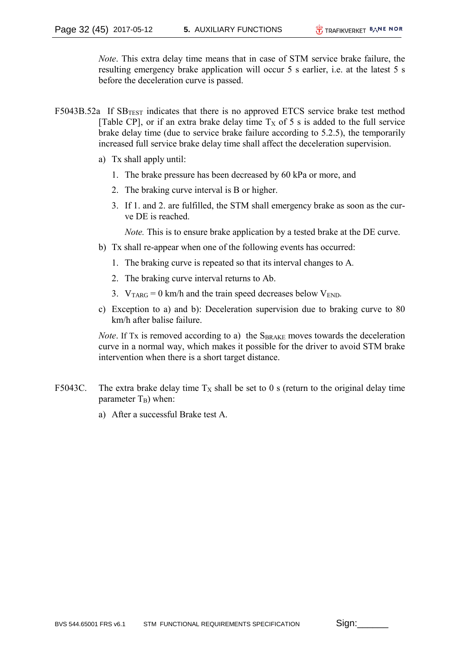*Note*. This extra delay time means that in case of STM service brake failure, the resulting emergency brake application will occur 5 s earlier, i.e. at the latest 5 s before the deceleration curve is passed.

- F5043B.52a If SBTEST indicates that there is no approved ETCS service brake test method [Table CP], or if an extra brake delay time  $T_X$  of 5 s is added to the full service brake delay time (due to service brake failure according to 5.2.5), the temporarily increased full service brake delay time shall affect the deceleration supervision.
	- a) Tx shall apply until:
		- 1. The brake pressure has been decreased by 60 kPa or more, and
		- 2. The braking curve interval is B or higher.
		- 3. If 1. and 2. are fulfilled, the STM shall emergency brake as soon as the curve DE is reached.

*Note.* This is to ensure brake application by a tested brake at the DE curve.

- b) Tx shall re-appear when one of the following events has occurred:
	- 1. The braking curve is repeated so that itsinterval changes to A.
	- 2. The braking curve interval returns to Ab.
	- 3.  $V_{TARG} = 0$  km/h and the train speed decreases below  $V_{END}$ .
- c) Exception to a) and b): Deceleration supervision due to braking curve to 80 km/h after balise failure.

*Note*. If Tx is removed according to a) the S<sub>BRAKE</sub> moves towards the deceleration curve in a normal way, which makes it possible for the driver to avoid STM brake intervention when there is a short target distance.

- F5043C. The extra brake delay time  $T_X$  shall be set to 0 s (return to the original delay time parameter  $T_B$ ) when:
	- a) After a successful Brake test A.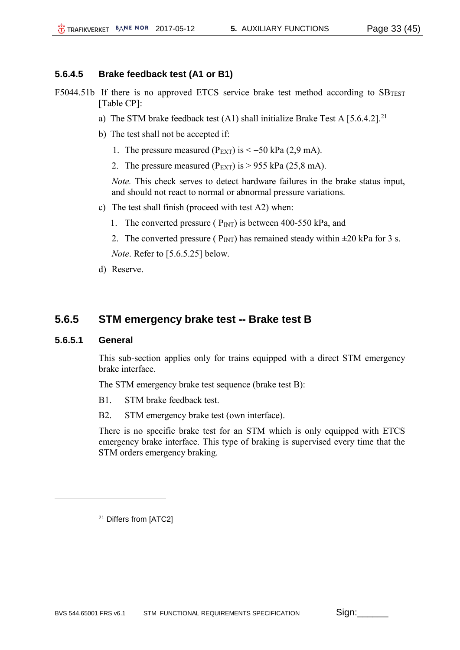#### **5.6.4.5 Brake feedback test (A1 or B1)**

- F5044.51b If there is no approved ETCS service brake test method according to  $SB_{TEST}$ [Table CP]:
	- a) The STM brake feedback test (A1) shall initialize Brake Test A  $[5.6.4.2]$ <sup>21</sup>
	- b) The test shall not be accepted if:
		- 1. The pressure measured ( $P_{\text{EXT}}$ ) is  $\leq -50$  kPa (2,9 mA).
		- 2. The pressure measured ( $P_{\text{EXT}}$ ) is > 955 kPa (25,8 mA).

*Note.* This check serves to detect hardware failures in the brake status input, and should not react to normal or abnormal pressure variations.

- c) The test shall finish (proceed with test A2) when:
	- 1. The converted pressure ( $P_{INT}$ ) is between 400-550 kPa, and
	- 2. The converted pressure ( $P_{INT}$ ) has remained steady within  $\pm 20$  kPa for 3 s.

*Note*. Refer to [5.6.5.25] below.

d) Reserve.

## <span id="page-32-0"></span>**5.6.5 STM emergency brake test -- Brake test B**

#### **5.6.5.1 General**

 $\overline{a}$ 

This sub-section applies only for trains equipped with a direct STM emergency brake interface.

The STM emergency brake test sequence (brake test B):

- B1. STM brake feedback test.
- B2. STM emergency brake test (own interface).

There is no specific brake test for an STM which is only equipped with ETCS emergency brake interface. This type of braking is supervised every time that the STM orders emergency braking.

<sup>&</sup>lt;sup>21</sup> Differs from [ATC2]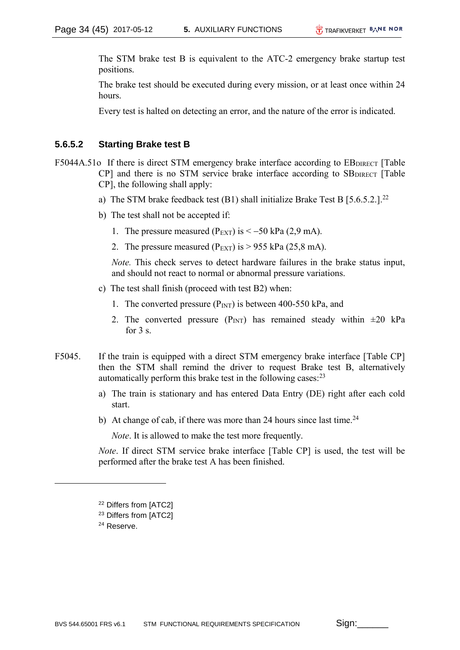The STM brake test B is equivalent to the ATC-2 emergency brake startup test positions.

The brake test should be executed during every mission, or at least once within 24 hours.

Every test is halted on detecting an error, and the nature of the error is indicated.

#### **5.6.5.2 Starting Brake test B**

- F5044A.51o If there is direct STM emergency brake interface according to EB<sub>DIRECT</sub> [Table  $CP$ ] and there is no STM service brake interface according to  $SB<sub>DIRECT</sub>$  [Table CP], the following shall apply:
	- a) The STM brake feedback test (B1) shall initialize Brake Test B [5.6.5.2.].<sup>22</sup>
	- b) The test shall not be accepted if:
		- 1. The pressure measured ( $P_{\text{EXT}}$ ) is  $\leq -50$  kPa (2,9 mA).
		- 2. The pressure measured ( $P_{\text{EXT}}$ ) is > 955 kPa (25,8 mA).

*Note.* This check serves to detect hardware failures in the brake status input, and should not react to normal or abnormal pressure variations.

- c) The test shall finish (proceed with test B2) when:
	- 1. The converted pressure  $(P_{\text{INT}})$  is between 400-550 kPa, and
	- 2. The converted pressure ( $P_{INT}$ ) has remained steady within  $\pm 20$  kPa for 3 s.
- F5045. If the train is equipped with a direct STM emergency brake interface [Table CP] then the STM shall remind the driver to request Brake test B, alternatively automatically perform this brake test in the following cases: $^{23}$ 
	- a) The train is stationary and has entered Data Entry (DE) right after each cold start.
	- b) At change of cab, if there was more than 24 hours since last time.<sup>24</sup>

*Note*. It is allowed to make the test more frequently.

*Note*. If direct STM service brake interface [Table CP] is used, the test will be performed after the brake test A has been finished.

<sup>24</sup> Reserve.

<sup>22</sup> Differs from [ATC2]

<sup>&</sup>lt;sup>23</sup> Differs from [ATC2]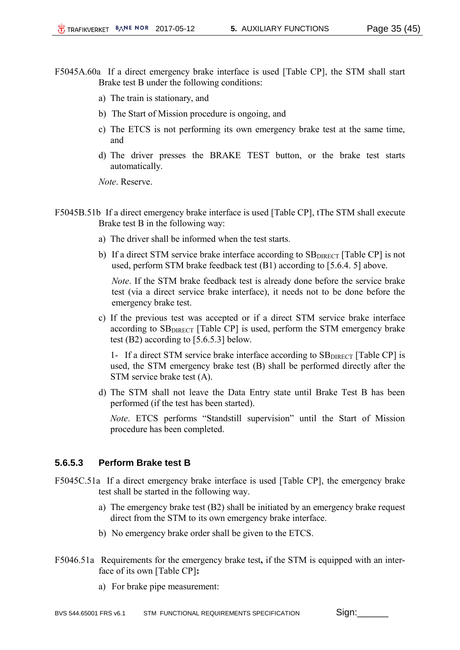- F5045A.60a If a direct emergency brake interface is used [Table CP], the STM shall start Brake test B under the following conditions:
	- a) The train is stationary, and
	- b) The Start of Mission procedure is ongoing, and
	- c) The ETCS is not performing its own emergency brake test at the same time, and
	- d) The driver presses the BRAKE TEST button, or the brake test starts automatically.

*Note*. Reserve.

- F5045B.51b If a direct emergency brake interface is used [Table CP], tThe STM shall execute Brake test B in the following way:
	- a) The driver shall be informed when the test starts.
	- b) If a direct STM service brake interface according to  $SB_{DIRECT}$  [Table CP] is not used, perform STM brake feedback test (B1) according to [5.6.4. 5] above.

*Note*. If the STM brake feedback test is already done before the service brake test (via a direct service brake interface), it needs not to be done before the emergency brake test.

c) If the previous test was accepted or if a direct STM service brake interface according to SB<sub>DIRECT</sub> [Table CP] is used, perform the STM emergency brake test (B2) according to [5.6.5.3] below.

1- If a direct STM service brake interface according to SBDIRECT [Table CP] is used, the STM emergency brake test (B) shall be performed directly after the STM service brake test (A).

d) The STM shall not leave the Data Entry state until Brake Test B has been performed (if the test has been started).

*Note*. ETCS performs "Standstill supervision" until the Start of Mission procedure has been completed.

#### **5.6.5.3 Perform Brake test B**

- F5045C.51a If a direct emergency brake interface is used [Table CP], the emergency brake test shall be started in the following way.
	- a) The emergency brake test (B2) shall be initiated by an emergency brake request direct from the STM to its own emergency brake interface.
	- b) No emergency brake order shall be given to the ETCS.
- F5046.51a Requirements for the emergency brake test**,** if the STM is equipped with an interface of its own [Table CP]**:**
	- a) For brake pipe measurement: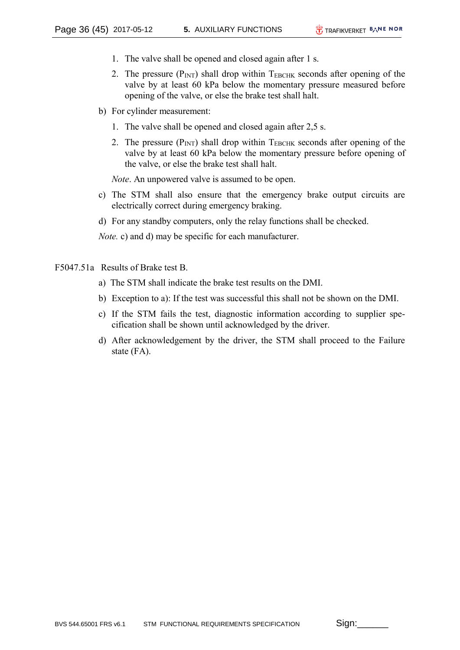- 1. The valve shall be opened and closed again after 1 s.
- 2. The pressure ( $P_{INT}$ ) shall drop within  $T_{EBCHK}$  seconds after opening of the valve by at least 60 kPa below the momentary pressure measured before opening of the valve, or else the brake test shall halt.
- b) For cylinder measurement:
	- 1. The valve shall be opened and closed again after 2,5 s.
	- 2. The pressure ( $P_{\text{INT}}$ ) shall drop within T<sub>EBCHK</sub> seconds after opening of the valve by at least 60 kPa below the momentary pressure before opening of the valve, or else the brake test shall halt.

*Note*. An unpowered valve is assumed to be open.

- c) The STM shall also ensure that the emergency brake output circuits are electrically correct during emergency braking.
- d) For any standby computers, only the relay functions shall be checked.

*Note.* c) and d) may be specific for each manufacturer.

- F5047.51a Results of Brake test B.
	- a) The STM shall indicate the brake test results on the DMI.
	- b) Exception to a): If the test was successful this shall not be shown on the DMI.
	- c) If the STM fails the test, diagnostic information according to supplier specification shall be shown until acknowledged by the driver.
	- d) After acknowledgement by the driver, the STM shall proceed to the Failure state (FA).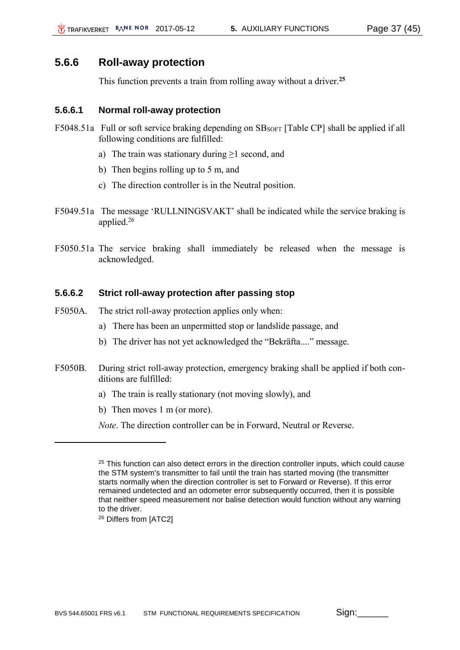#### <span id="page-36-0"></span>**5.6.6 Roll-away protection**

This function prevents a train from rolling away without a driver.**<sup>25</sup>**

#### **5.6.6.1 Normal roll-away protection**

- F5048.51a Full or soft service braking depending on  $SB<sub>SOFF</sub>$  [Table CP] shall be applied if all following conditions are fulfilled:
	- a) The train was stationary during  $\geq 1$  second, and
	- b) Then begins rolling up to 5 m, and
	- c) The direction controller is in the Neutral position.
- F5049.51a The message 'RULLNINGSVAKT' shall be indicated while the service braking is applied.<sup>26</sup>
- F5050.51a The service braking shall immediately be released when the message is acknowledged.

#### **5.6.6.2 Strict roll-away protection after passing stop**

- F5050A. The strict roll-away protection applies only when:
	- a) There has been an unpermitted stop or landslide passage, and
	- b) The driver has not yet acknowledged the "Bekräfta...." message.
- F5050B. During strict roll-away protection, emergency braking shall be applied if both conditions are fulfilled:
	- a) The train is really stationary (not moving slowly), and
	- b) Then moves 1 m (or more).

*Note*. The direction controller can be in Forward, Neutral or Reverse.

<sup>26</sup> Differs from [ATC2]

 $25$  This function can also detect errors in the direction controller inputs, which could cause the STM system's transmitter to fail until the train has started moving (the transmitter starts normally when the direction controller is set to Forward or Reverse). If this error remained undetected and an odometer error subsequently occurred, then it is possible that neither speed measurement nor balise detection would function without any warning to the driver.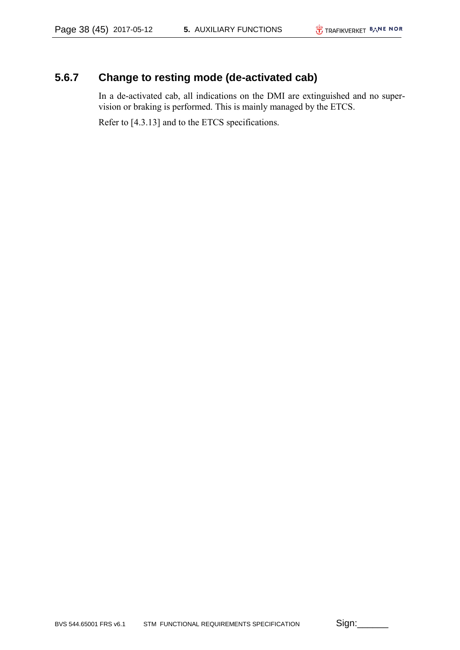## <span id="page-37-0"></span>**5.6.7 Change to resting mode (de-activated cab)**

In a de-activated cab, all indications on the DMI are extinguished and no supervision or braking is performed. This is mainly managed by the ETCS.

Refer to [4.3.13] and to the ETCS specifications.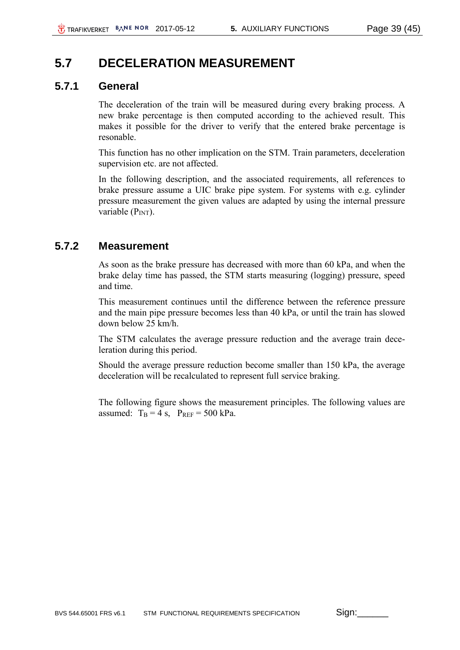## <span id="page-38-0"></span>**5.7 DECELERATION MEASUREMENT**

## <span id="page-38-1"></span>**5.7.1 General**

The deceleration of the train will be measured during every braking process. A new brake percentage is then computed according to the achieved result. This makes it possible for the driver to verify that the entered brake percentage is resonable.

This function has no other implication on the STM. Train parameters, deceleration supervision etc. are not affected.

In the following description, and the associated requirements, all references to brake pressure assume a UIC brake pipe system. For systems with e.g. cylinder pressure measurement the given values are adapted by using the internal pressure variable  $(P_{INT})$ .

#### <span id="page-38-2"></span>**5.7.2 Measurement**

As soon as the brake pressure has decreased with more than 60 kPa, and when the brake delay time has passed, the STM starts measuring (logging) pressure, speed and time.

This measurement continues until the difference between the reference pressure and the main pipe pressure becomes less than 40 kPa, or until the train has slowed down below 25 km/h.

The STM calculates the average pressure reduction and the average train deceleration during this period.

Should the average pressure reduction become smaller than 150 kPa, the average deceleration will be recalculated to represent full service braking.

The following figure shows the measurement principles. The following values are assumed:  $T_B = 4$  s,  $P_{REF} = 500$  kPa.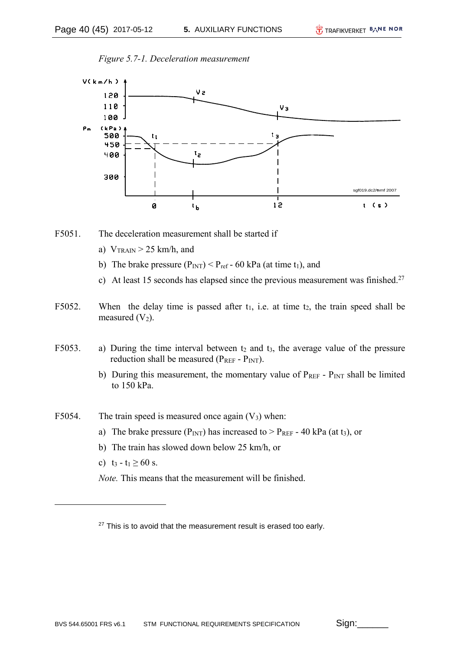*Figure 5.7-1. Deceleration measurement*





- a)  $V_{\text{TRAIN}} > 25$  km/h, and
- b) The brake pressure  $(P_{INT}) < P_{ref}$  60 kPa (at time t<sub>1</sub>), and
- c) At least 15 seconds has elapsed since the previous measurement was finished.<sup>27</sup>
- F5052. When the delay time is passed after  $t_1$ , i.e. at time  $t_2$ , the train speed shall be measured  $(V_2)$ .
- F5053. a) During the time interval between t<sub>2</sub> and t<sub>3</sub>, the average value of the pressure reduction shall be measured ( $P_{REF}$  -  $P_{INT}$ ).
	- b) During this measurement, the momentary value of  $P_{REF}$   $P_{INT}$  shall be limited to 150 kPa.
- F5054. The train speed is measured once again  $(V_3)$  when:
	- a) The brake pressure ( $P_{INT}$ ) has increased to  $> P_{REF}$  40 kPa (at t<sub>3</sub>), or
	- b) The train has slowed down below 25 km/h, or
	- c)  $t_3 t_1 \ge 60$  s.

 $\overline{a}$ 

*Note.* This means that the measurement will be finished.

 $27$  This is to avoid that the measurement result is erased too early.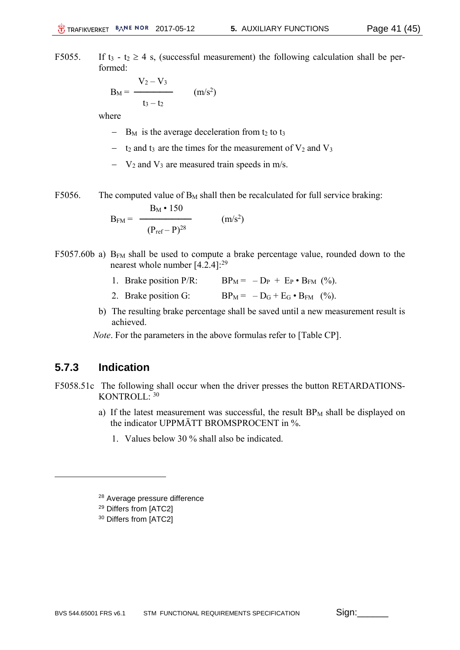F5055. If t<sub>3</sub> - t<sub>2</sub>  $\geq$  4 s, (successful measurement) the following calculation shall be performed:

$$
B_M = \frac{V_2 - V_3}{t_3 - t_2} \qquad (m/s^2)
$$

where

- $-$  B<sub>M</sub> is the average deceleration from t<sub>2</sub> to t<sub>3</sub>
- $t_2$  and  $t_3$  are the times for the measurement of  $V_2$  and  $V_3$
- $-$  V<sub>2</sub> and V<sub>3</sub> are measured train speeds in m/s.
- F5056. The computed value of  $B_M$  shall then be recalculated for full service braking:

$$
B_{FM} = \frac{B_M \cdot 150}{(P_{ref} - P)^{28}} \qquad (m/s^2)
$$

- F5057.60b a) B<sub>FM</sub> shall be used to compute a brake percentage value, rounded down to the nearest whole number [4.2.4]:<sup>29</sup>
	- 1. Brake position  $P/R$ :  $BP_M = -D_P + E_P \cdot B_{FM}$  (%).
	- 2. Brake position G:  $BP_M = -D_G + E_G \cdot B_{FM}$  (%).
	- b) The resulting brake percentage shall be saved until a new measurement result is achieved.

*Note*. For the parameters in the above formulas refer to [Table CP].

#### <span id="page-40-0"></span>**5.7.3 Indication**

- F5058.51c The following shall occur when the driver presses the button RETARDATIONS-KONTROLL: <sup>30</sup>
	- a) If the latest measurement was successful, the result  $BP<sub>M</sub>$  shall be displayed on the indicator UPPMÄTT BROMSPROCENT in %.
		- 1. Values below 30 % shall also be indicated.

- <sup>29</sup> Differs from [ATC2]
- <sup>30</sup> Differs from [ATC2]

<sup>&</sup>lt;sup>28</sup> Average pressure difference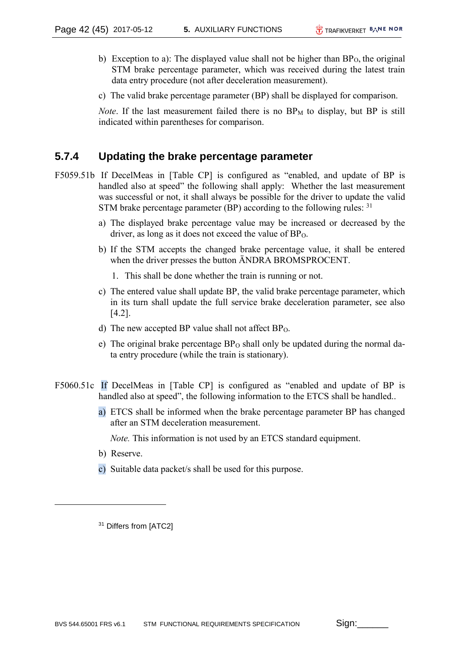- b) Exception to a): The displayed value shall not be higher than  $BP_0$ , the original STM brake percentage parameter, which was received during the latest train data entry procedure (not after deceleration measurement).
- c) The valid brake percentage parameter (BP) shall be displayed for comparison.

*Note*. If the last measurement failed there is no  $BP_M$  to display, but  $BP$  is still indicated within parentheses for comparison.

## <span id="page-41-0"></span>**5.7.4 Updating the brake percentage parameter**

- F5059.51b If DecelMeas in [Table CP] is configured as "enabled, and update of BP is handled also at speed" the following shall apply: Whether the last measurement was successful or not, it shall always be possible for the driver to update the valid STM brake percentage parameter (BP) according to the following rules: <sup>31</sup>
	- a) The displayed brake percentage value may be increased or decreased by the driver, as long as it does not exceed the value of BP<sub>O</sub>.
	- b) If the STM accepts the changed brake percentage value, it shall be entered when the driver presses the button ÄNDRA BROMSPROCENT.
		- 1. This shall be done whether the train is running or not.
	- c) The entered value shall update BP, the valid brake percentage parameter, which in its turn shall update the full service brake deceleration parameter, see also [4.2].
	- d) The new accepted BP value shall not affect  $BP<sub>O</sub>$ .
	- e) The original brake percentage  $BP<sub>O</sub>$  shall only be updated during the normal data entry procedure (while the train is stationary).
- F5060.51c If DecelMeas in [Table CP] is configured as "enabled and update of BP is handled also at speed", the following information to the ETCS shall be handled..
	- a) ETCS shall be informed when the brake percentage parameter BP has changed after an STM deceleration measurement.

*Note.* This information is not used by an ETCS standard equipment.

b) Reserve.

 $\overline{a}$ 

c) Suitable data packet/s shall be used for this purpose.

<sup>31</sup> Differs from [ATC2]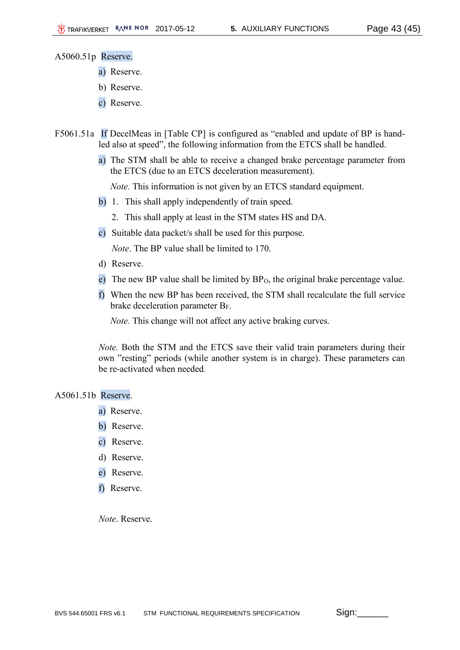#### A5060.51p Reserve.

- a) Reserve.
- b) Reserve.
- c) Reserve.
- F5061.51a If DecelMeas in [Table CP] is configured as "enabled and update of BP is handled also at speed", the following information from the ETCS shall be handled.
	- a) The STM shall be able to receive a changed brake percentage parameter from the ETCS (due to an ETCS deceleration measurement).

*Note.* This information is not given by an ETCS standard equipment.

- b) 1. This shall apply independently of train speed.
	- 2. This shall apply at least in the STM states HS and DA.
- c) Suitable data packet/s shall be used for this purpose.

*Note*. The BP value shall be limited to 170.

- d) Reserve.
- e) The new BP value shall be limited by  $BP<sub>O</sub>$ , the original brake percentage value.
- f) When the new BP has been received, the STM shall recalculate the full service brake deceleration parameter  $B_F$ .

*Note.* This change will not affect any active braking curves.

*Note.* Both the STM and the ETCS save their valid train parameters during their own "resting" periods (while another system is in charge). These parameters can be re-activated when needed*.*

#### A5061.51b Reserve.

- a) Reserve.
- b) Reserve.
- c) Reserve.
- d) Reserve.
- e) Reserve.
- f) Reserve.

*Note*. Reserve.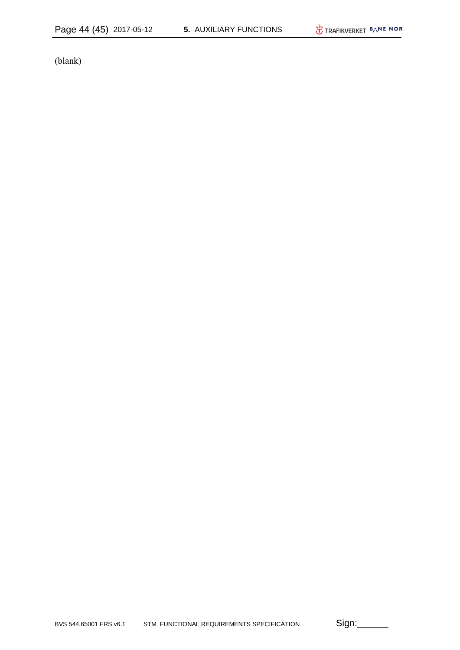(blank)